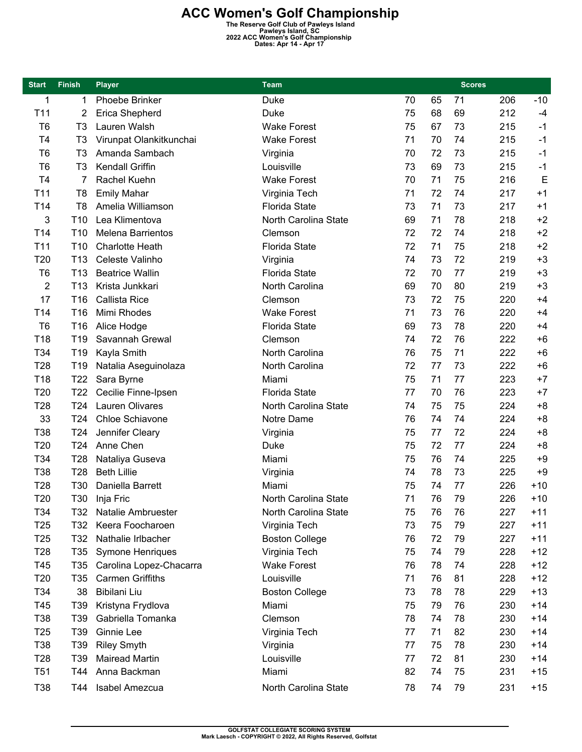**ACC Women's Golf Championship**<br>
The Reserve Golf Club of Pawleys Island<br>
Pawleys Island, SC<br>
2022 ACC Women's Golf Championship<br>
Dates: Apr 14 - Apr 17

| <b>Start</b>    | <b>Finish</b>   | <b>Player</b>            | <b>Team</b>           |    | <b>Scores</b> |    |     |       |
|-----------------|-----------------|--------------------------|-----------------------|----|---------------|----|-----|-------|
| 1               | 1               | Phoebe Brinker           | <b>Duke</b>           | 70 | 65            | 71 | 206 | $-10$ |
| T11             | 2               | Erica Shepherd           | <b>Duke</b>           | 75 | 68            | 69 | 212 | $-4$  |
| T <sub>6</sub>  | T <sub>3</sub>  | Lauren Walsh             | <b>Wake Forest</b>    | 75 | 67            | 73 | 215 | $-1$  |
| T4              | T <sub>3</sub>  | Virunpat Olankitkunchai  | <b>Wake Forest</b>    | 71 | 70            | 74 | 215 | $-1$  |
| T <sub>6</sub>  | T <sub>3</sub>  | Amanda Sambach           | Virginia              | 70 | 72            | 73 | 215 | $-1$  |
| T <sub>6</sub>  | T <sub>3</sub>  | Kendall Griffin          | Louisville            | 73 | 69            | 73 | 215 | $-1$  |
| T <sub>4</sub>  | 7               | Rachel Kuehn             | <b>Wake Forest</b>    | 70 | 71            | 75 | 216 | E     |
| T11             | T <sub>8</sub>  | <b>Emily Mahar</b>       | Virginia Tech         | 71 | 72            | 74 | 217 | $+1$  |
| T14             | T8              | Amelia Williamson        | <b>Florida State</b>  | 73 | 71            | 73 | 217 | $+1$  |
| 3               | T <sub>10</sub> | Lea Klimentova           | North Carolina State  | 69 | 71            | 78 | 218 | $+2$  |
| T14             | T <sub>10</sub> | <b>Melena Barrientos</b> | Clemson               | 72 | 72            | 74 | 218 | $+2$  |
| T <sub>11</sub> | T <sub>10</sub> | <b>Charlotte Heath</b>   | <b>Florida State</b>  | 72 | 71            | 75 | 218 | $+2$  |
| T20             | T <sub>13</sub> | Celeste Valinho          | Virginia              | 74 | 73            | 72 | 219 | $+3$  |
| T <sub>6</sub>  | T <sub>13</sub> | <b>Beatrice Wallin</b>   | <b>Florida State</b>  | 72 | 70            | 77 | 219 | $+3$  |
| 2               | T <sub>13</sub> | Krista Junkkari          | North Carolina        | 69 | 70            | 80 | 219 | $+3$  |
| 17              | T16             | Callista Rice            | Clemson               | 73 | 72            | 75 | 220 | $+4$  |
| T14             | T16             | Mimi Rhodes              | <b>Wake Forest</b>    | 71 | 73            | 76 | 220 | $+4$  |
| T <sub>6</sub>  | T16             | Alice Hodge              | <b>Florida State</b>  | 69 | 73            | 78 | 220 | $+4$  |
| T18             | T19             | Savannah Grewal          | Clemson               | 74 | 72            | 76 | 222 | $+6$  |
| T34             | T <sub>19</sub> | Kayla Smith              | North Carolina        | 76 | 75            | 71 | 222 | $+6$  |
| T <sub>28</sub> | T <sub>19</sub> | Natalia Aseguinolaza     | North Carolina        | 72 | 77            | 73 | 222 | $+6$  |
| T18             | T <sub>22</sub> | Sara Byrne               | Miami                 | 75 | 71            | 77 | 223 | $+7$  |
| T <sub>20</sub> | T <sub>22</sub> | Cecilie Finne-Ipsen      | <b>Florida State</b>  | 77 | 70            | 76 | 223 | $+7$  |
| T <sub>28</sub> | T <sub>24</sub> | Lauren Olivares          | North Carolina State  | 74 | 75            | 75 | 224 | $+8$  |
| 33              | T <sub>24</sub> | Chloe Schiavone          | Notre Dame            | 76 | 74            | 74 | 224 | $+8$  |
| T38             | T24             | Jennifer Cleary          | Virginia              | 75 | 77            | 72 | 224 | $+8$  |
| T20             | T <sub>24</sub> | Anne Chen                | Duke                  | 75 | 72            | 77 | 224 | $+8$  |
| T34             | T <sub>28</sub> | Nataliya Guseva          | Miami                 | 75 | 76            | 74 | 225 | $+9$  |
| T38             | T28             | <b>Beth Lillie</b>       | Virginia              | 74 | 78            | 73 | 225 | $+9$  |
| T <sub>28</sub> | T30             | Daniella Barrett         | Miami                 | 75 | 74            | 77 | 226 | $+10$ |
| T20             |                 | T30 Inja Fric            | North Carolina State  | 71 | 76            | 79 | 226 | $+10$ |
| T34             | T32             | Natalie Ambruester       | North Carolina State  | 75 | 76            | 76 | 227 | +11   |
| T <sub>25</sub> | T32             | Keera Foocharoen         | Virginia Tech         | 73 | 75            | 79 | 227 | $+11$ |
| T <sub>25</sub> | T32             | Nathalie Irlbacher       | <b>Boston College</b> | 76 | 72            | 79 | 227 | $+11$ |
| T <sub>28</sub> | T35             | Symone Henriques         | Virginia Tech         | 75 | 74            | 79 | 228 | $+12$ |
| T45             | T35             | Carolina Lopez-Chacarra  | <b>Wake Forest</b>    | 76 | 78            | 74 | 228 | $+12$ |
| T <sub>20</sub> | T35             | <b>Carmen Griffiths</b>  | Louisville            | 71 | 76            | 81 | 228 | $+12$ |
| T34             | 38              | Bibilani Liu             | <b>Boston College</b> | 73 | 78            | 78 | 229 | $+13$ |
| T45             | T39             | Kristyna Frydlova        | Miami                 | 75 | 79            | 76 | 230 | $+14$ |
| T38             | T39             | Gabriella Tomanka        | Clemson               | 78 | 74            | 78 | 230 | $+14$ |
| T <sub>25</sub> | T39             | Ginnie Lee               | Virginia Tech         | 77 | 71            | 82 | 230 | $+14$ |
| T38             | T39             | <b>Riley Smyth</b>       | Virginia              | 77 | 75            | 78 | 230 | $+14$ |
| T <sub>28</sub> | T39             | <b>Mairead Martin</b>    | Louisville            | 77 | 72            | 81 | 230 | $+14$ |
| T <sub>51</sub> | T44             | Anna Backman             | Miami                 | 82 | 74            | 75 | 231 | $+15$ |
| T38             | T44             | Isabel Amezcua           | North Carolina State  | 78 | 74            | 79 | 231 | $+15$ |